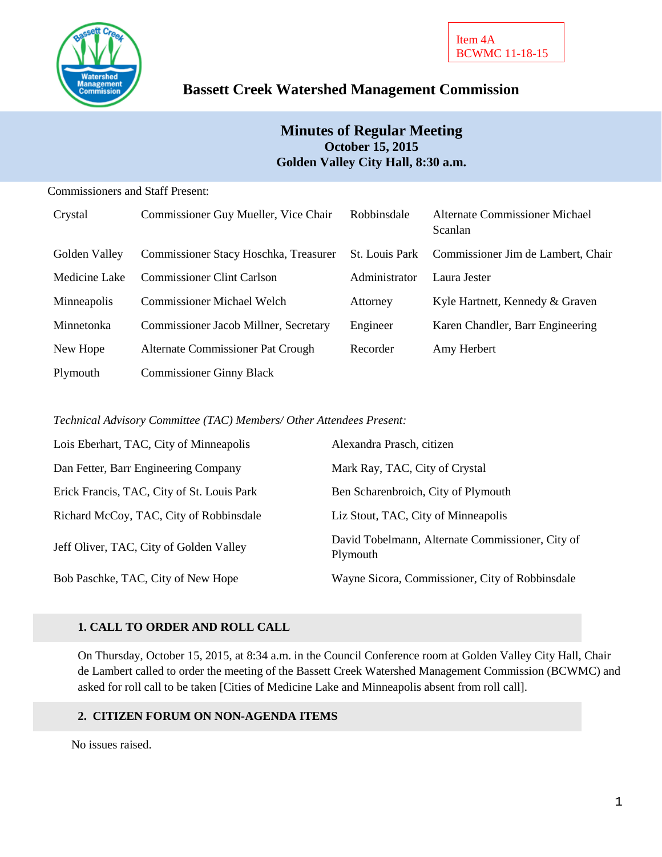

# **Bassett Creek Watershed Management Commission**

# **Minutes of Regular Meeting October 15, 2015 Golden Valley City Hall, 8:30 a.m.**

#### Commissioners and Staff Present:

| Crystal       | Commissioner Guy Mueller, Vice Chair  | Robbinsdale           | <b>Alternate Commissioner Michael</b><br>Scanlan |
|---------------|---------------------------------------|-----------------------|--------------------------------------------------|
| Golden Valley | Commissioner Stacy Hoschka, Treasurer | <b>St.</b> Louis Park | Commissioner Jim de Lambert, Chair               |
| Medicine Lake | <b>Commissioner Clint Carlson</b>     | Administrator         | Laura Jester                                     |
| Minneapolis   | <b>Commissioner Michael Welch</b>     | Attorney              | Kyle Hartnett, Kennedy & Graven                  |
| Minnetonka    | Commissioner Jacob Millner, Secretary | Engineer              | Karen Chandler, Barr Engineering                 |
| New Hope      | Alternate Commissioner Pat Crough     | Recorder              | Amy Herbert                                      |
| Plymouth      | <b>Commissioner Ginny Black</b>       |                       |                                                  |

*Technical Advisory Committee (TAC) Members/ Other Attendees Present:*

| Lois Eberhart, TAC, City of Minneapolis    | Alexandra Prasch, citizen                                    |
|--------------------------------------------|--------------------------------------------------------------|
| Dan Fetter, Barr Engineering Company       | Mark Ray, TAC, City of Crystal                               |
| Erick Francis, TAC, City of St. Louis Park | Ben Scharenbroich, City of Plymouth                          |
| Richard McCoy, TAC, City of Robbinsdale    | Liz Stout, TAC, City of Minneapolis                          |
| Jeff Oliver, TAC, City of Golden Valley    | David Tobelmann, Alternate Commissioner, City of<br>Plymouth |
| Bob Paschke, TAC, City of New Hope         | Wayne Sicora, Commissioner, City of Robbinsdale              |

### **1. CALL TO ORDER AND ROLL CALL**

On Thursday, October 15, 2015, at 8:34 a.m. in the Council Conference room at Golden Valley City Hall, Chair de Lambert called to order the meeting of the Bassett Creek Watershed Management Commission (BCWMC) and asked for roll call to be taken [Cities of Medicine Lake and Minneapolis absent from roll call].

#### **2. CITIZEN FORUM ON NON-AGENDA ITEMS**

No issues raised.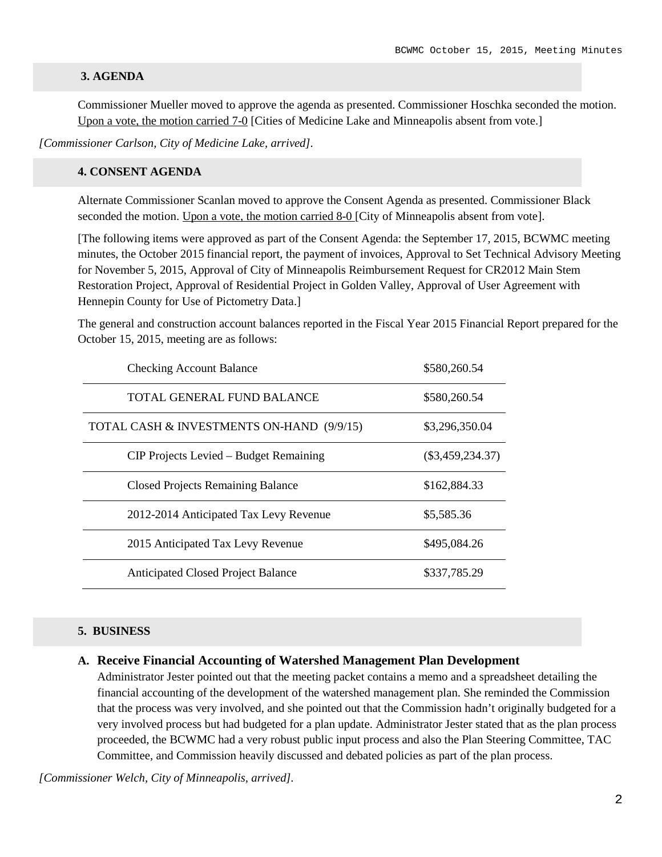#### **3. AGENDA**

Commissioner Mueller moved to approve the agenda as presented. Commissioner Hoschka seconded the motion. Upon a vote, the motion carried 7-0 [Cities of Medicine Lake and Minneapolis absent from vote.]

*[Commissioner Carlson, City of Medicine Lake, arrived].*

#### **4. CONSENT AGENDA**

Alternate Commissioner Scanlan moved to approve the Consent Agenda as presented. Commissioner Black seconded the motion. Upon a vote, the motion carried 8-0 [City of Minneapolis absent from vote].

[The following items were approved as part of the Consent Agenda: the September 17, 2015, BCWMC meeting minutes, the October 2015 financial report, the payment of invoices, Approval to Set Technical Advisory Meeting for November 5, 2015, Approval of City of Minneapolis Reimbursement Request for CR2012 Main Stem Restoration Project, Approval of Residential Project in Golden Valley, Approval of User Agreement with Hennepin County for Use of Pictometry Data.]

The general and construction account balances reported in the Fiscal Year 2015 Financial Report prepared for the October 15, 2015, meeting are as follows:

| <b>Checking Account Balance</b>           | \$580,260.54       |
|-------------------------------------------|--------------------|
| TOTAL GENERAL FUND BALANCE                | \$580,260.54       |
| TOTAL CASH & INVESTMENTS ON-HAND (9/9/15) | \$3,296,350.04     |
| CIP Projects Levied – Budget Remaining    | $(\$3,459,234.37)$ |
| <b>Closed Projects Remaining Balance</b>  | \$162,884.33       |
| 2012-2014 Anticipated Tax Levy Revenue    | \$5,585.36         |
| 2015 Anticipated Tax Levy Revenue         | \$495,084.26       |
| <b>Anticipated Closed Project Balance</b> | \$337,785.29       |

#### **5. BUSINESS**

#### **A. Receive Financial Accounting of Watershed Management Plan Development**

Administrator Jester pointed out that the meeting packet contains a memo and a spreadsheet detailing the financial accounting of the development of the watershed management plan. She reminded the Commission that the process was very involved, and she pointed out that the Commission hadn't originally budgeted for a very involved process but had budgeted for a plan update. Administrator Jester stated that as the plan process proceeded, the BCWMC had a very robust public input process and also the Plan Steering Committee, TAC Committee, and Commission heavily discussed and debated policies as part of the plan process.

*[Commissioner Welch, City of Minneapolis, arrived].*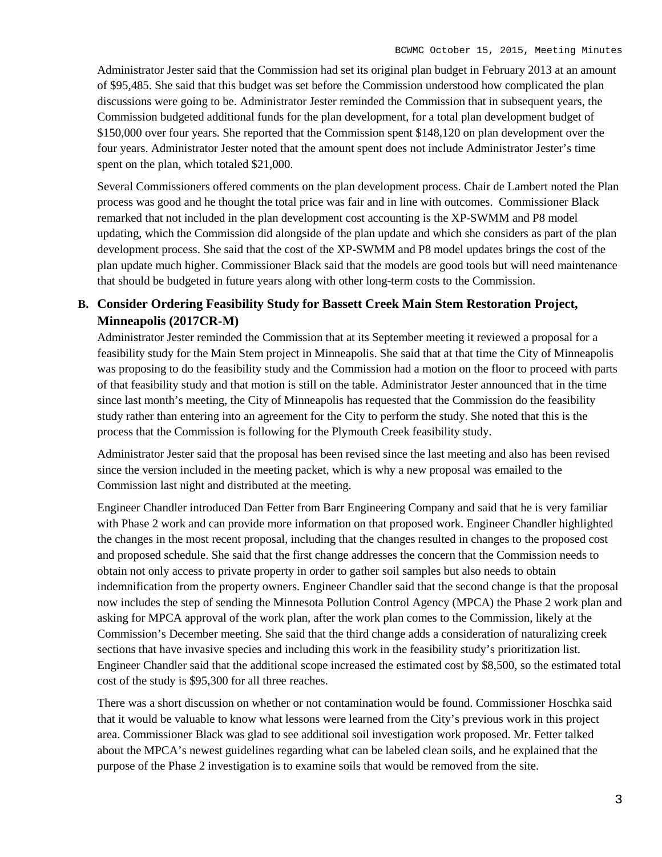Administrator Jester said that the Commission had set its original plan budget in February 2013 at an amount of \$95,485. She said that this budget was set before the Commission understood how complicated the plan discussions were going to be. Administrator Jester reminded the Commission that in subsequent years, the Commission budgeted additional funds for the plan development, for a total plan development budget of \$150,000 over four years. She reported that the Commission spent \$148,120 on plan development over the four years. Administrator Jester noted that the amount spent does not include Administrator Jester's time spent on the plan, which totaled \$21,000.

Several Commissioners offered comments on the plan development process. Chair de Lambert noted the Plan process was good and he thought the total price was fair and in line with outcomes. Commissioner Black remarked that not included in the plan development cost accounting is the XP-SWMM and P8 model updating, which the Commission did alongside of the plan update and which she considers as part of the plan development process. She said that the cost of the XP-SWMM and P8 model updates brings the cost of the plan update much higher. Commissioner Black said that the models are good tools but will need maintenance that should be budgeted in future years along with other long-term costs to the Commission.

### **B. Consider Ordering Feasibility Study for Bassett Creek Main Stem Restoration Project, Minneapolis (2017CR-M)**

Administrator Jester reminded the Commission that at its September meeting it reviewed a proposal for a feasibility study for the Main Stem project in Minneapolis. She said that at that time the City of Minneapolis was proposing to do the feasibility study and the Commission had a motion on the floor to proceed with parts of that feasibility study and that motion is still on the table. Administrator Jester announced that in the time since last month's meeting, the City of Minneapolis has requested that the Commission do the feasibility study rather than entering into an agreement for the City to perform the study. She noted that this is the process that the Commission is following for the Plymouth Creek feasibility study.

Administrator Jester said that the proposal has been revised since the last meeting and also has been revised since the version included in the meeting packet, which is why a new proposal was emailed to the Commission last night and distributed at the meeting.

Engineer Chandler introduced Dan Fetter from Barr Engineering Company and said that he is very familiar with Phase 2 work and can provide more information on that proposed work. Engineer Chandler highlighted the changes in the most recent proposal, including that the changes resulted in changes to the proposed cost and proposed schedule. She said that the first change addresses the concern that the Commission needs to obtain not only access to private property in order to gather soil samples but also needs to obtain indemnification from the property owners. Engineer Chandler said that the second change is that the proposal now includes the step of sending the Minnesota Pollution Control Agency (MPCA) the Phase 2 work plan and asking for MPCA approval of the work plan, after the work plan comes to the Commission, likely at the Commission's December meeting. She said that the third change adds a consideration of naturalizing creek sections that have invasive species and including this work in the feasibility study's prioritization list. Engineer Chandler said that the additional scope increased the estimated cost by \$8,500, so the estimated total cost of the study is \$95,300 for all three reaches.

There was a short discussion on whether or not contamination would be found. Commissioner Hoschka said that it would be valuable to know what lessons were learned from the City's previous work in this project area. Commissioner Black was glad to see additional soil investigation work proposed. Mr. Fetter talked about the MPCA's newest guidelines regarding what can be labeled clean soils, and he explained that the purpose of the Phase 2 investigation is to examine soils that would be removed from the site.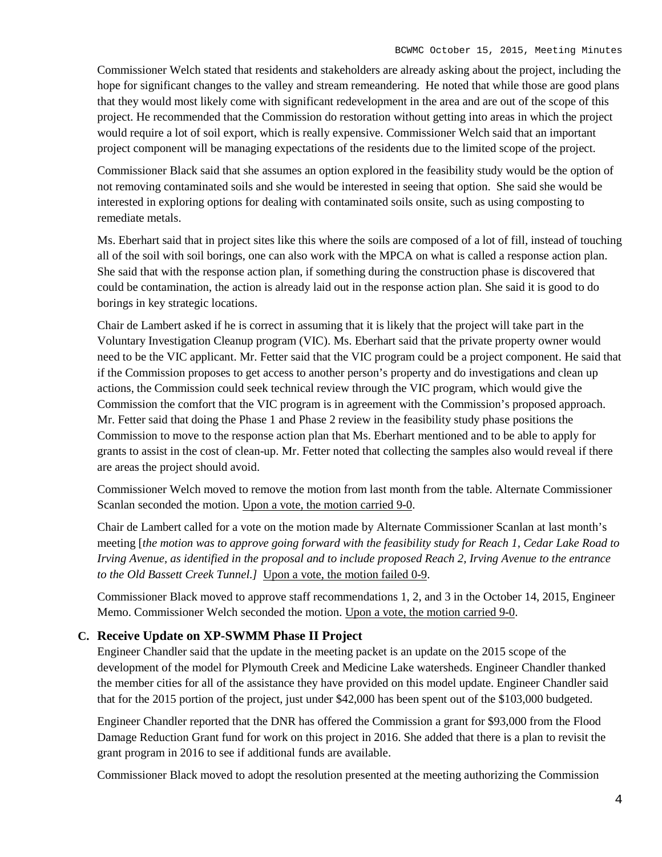Commissioner Welch stated that residents and stakeholders are already asking about the project, including the hope for significant changes to the valley and stream remeandering. He noted that while those are good plans that they would most likely come with significant redevelopment in the area and are out of the scope of this project. He recommended that the Commission do restoration without getting into areas in which the project would require a lot of soil export, which is really expensive. Commissioner Welch said that an important project component will be managing expectations of the residents due to the limited scope of the project.

Commissioner Black said that she assumes an option explored in the feasibility study would be the option of not removing contaminated soils and she would be interested in seeing that option. She said she would be interested in exploring options for dealing with contaminated soils onsite, such as using composting to remediate metals.

Ms. Eberhart said that in project sites like this where the soils are composed of a lot of fill, instead of touching all of the soil with soil borings, one can also work with the MPCA on what is called a response action plan. She said that with the response action plan, if something during the construction phase is discovered that could be contamination, the action is already laid out in the response action plan. She said it is good to do borings in key strategic locations.

Chair de Lambert asked if he is correct in assuming that it is likely that the project will take part in the Voluntary Investigation Cleanup program (VIC). Ms. Eberhart said that the private property owner would need to be the VIC applicant. Mr. Fetter said that the VIC program could be a project component. He said that if the Commission proposes to get access to another person's property and do investigations and clean up actions, the Commission could seek technical review through the VIC program, which would give the Commission the comfort that the VIC program is in agreement with the Commission's proposed approach. Mr. Fetter said that doing the Phase 1 and Phase 2 review in the feasibility study phase positions the Commission to move to the response action plan that Ms. Eberhart mentioned and to be able to apply for grants to assist in the cost of clean-up. Mr. Fetter noted that collecting the samples also would reveal if there are areas the project should avoid.

Commissioner Welch moved to remove the motion from last month from the table. Alternate Commissioner Scanlan seconded the motion. Upon a vote, the motion carried 9-0.

Chair de Lambert called for a vote on the motion made by Alternate Commissioner Scanlan at last month's meeting [*the motion was to approve going forward with the feasibility study for Reach 1, Cedar Lake Road to Irving Avenue, as identified in the proposal and to include proposed Reach 2, Irving Avenue to the entrance to the Old Bassett Creek Tunnel.]* Upon a vote, the motion failed 0-9.

Commissioner Black moved to approve staff recommendations 1, 2, and 3 in the October 14, 2015, Engineer Memo. Commissioner Welch seconded the motion. Upon a vote, the motion carried 9-0.

#### **C. Receive Update on XP-SWMM Phase II Project**

Engineer Chandler said that the update in the meeting packet is an update on the 2015 scope of the development of the model for Plymouth Creek and Medicine Lake watersheds. Engineer Chandler thanked the member cities for all of the assistance they have provided on this model update. Engineer Chandler said that for the 2015 portion of the project, just under \$42,000 has been spent out of the \$103,000 budgeted.

Engineer Chandler reported that the DNR has offered the Commission a grant for \$93,000 from the Flood Damage Reduction Grant fund for work on this project in 2016. She added that there is a plan to revisit the grant program in 2016 to see if additional funds are available.

Commissioner Black moved to adopt the resolution presented at the meeting authorizing the Commission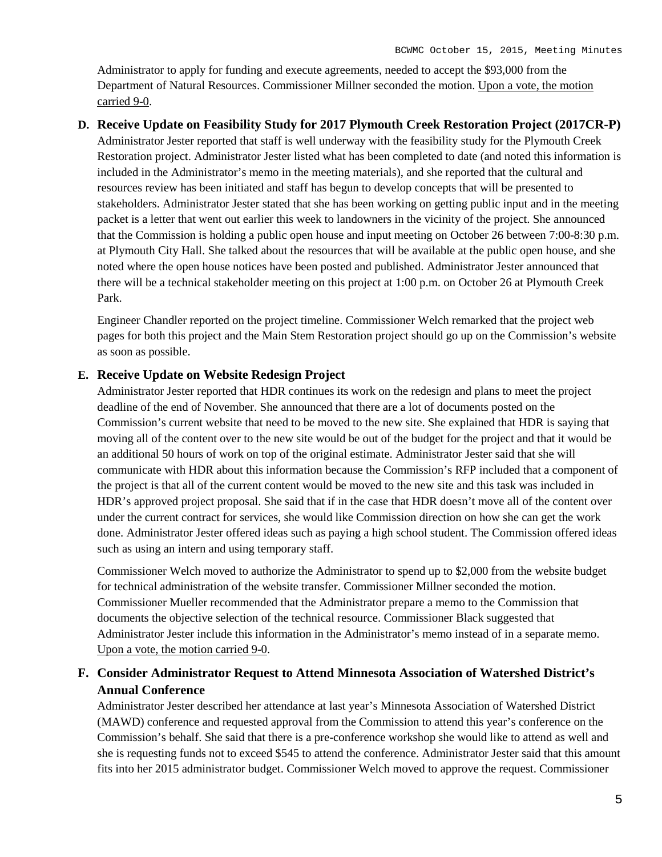Administrator to apply for funding and execute agreements, needed to accept the \$93,000 from the Department of Natural Resources. Commissioner Millner seconded the motion. Upon a vote, the motion carried 9-0.

#### **D. Receive Update on Feasibility Study for 2017 Plymouth Creek Restoration Project (2017CR-P)**

Administrator Jester reported that staff is well underway with the feasibility study for the Plymouth Creek Restoration project. Administrator Jester listed what has been completed to date (and noted this information is included in the Administrator's memo in the meeting materials), and she reported that the cultural and resources review has been initiated and staff has begun to develop concepts that will be presented to stakeholders. Administrator Jester stated that she has been working on getting public input and in the meeting packet is a letter that went out earlier this week to landowners in the vicinity of the project. She announced that the Commission is holding a public open house and input meeting on October 26 between 7:00-8:30 p.m. at Plymouth City Hall. She talked about the resources that will be available at the public open house, and she noted where the open house notices have been posted and published. Administrator Jester announced that there will be a technical stakeholder meeting on this project at 1:00 p.m. on October 26 at Plymouth Creek Park.

Engineer Chandler reported on the project timeline. Commissioner Welch remarked that the project web pages for both this project and the Main Stem Restoration project should go up on the Commission's website as soon as possible.

#### **E. Receive Update on Website Redesign Project**

Administrator Jester reported that HDR continues its work on the redesign and plans to meet the project deadline of the end of November. She announced that there are a lot of documents posted on the Commission's current website that need to be moved to the new site. She explained that HDR is saying that moving all of the content over to the new site would be out of the budget for the project and that it would be an additional 50 hours of work on top of the original estimate. Administrator Jester said that she will communicate with HDR about this information because the Commission's RFP included that a component of the project is that all of the current content would be moved to the new site and this task was included in HDR's approved project proposal. She said that if in the case that HDR doesn't move all of the content over under the current contract for services, she would like Commission direction on how she can get the work done. Administrator Jester offered ideas such as paying a high school student. The Commission offered ideas such as using an intern and using temporary staff.

Commissioner Welch moved to authorize the Administrator to spend up to \$2,000 from the website budget for technical administration of the website transfer. Commissioner Millner seconded the motion. Commissioner Mueller recommended that the Administrator prepare a memo to the Commission that documents the objective selection of the technical resource. Commissioner Black suggested that Administrator Jester include this information in the Administrator's memo instead of in a separate memo. Upon a vote, the motion carried 9-0.

# **F. Consider Administrator Request to Attend Minnesota Association of Watershed District's Annual Conference**

Administrator Jester described her attendance at last year's Minnesota Association of Watershed District (MAWD) conference and requested approval from the Commission to attend this year's conference on the Commission's behalf. She said that there is a pre-conference workshop she would like to attend as well and she is requesting funds not to exceed \$545 to attend the conference. Administrator Jester said that this amount fits into her 2015 administrator budget. Commissioner Welch moved to approve the request. Commissioner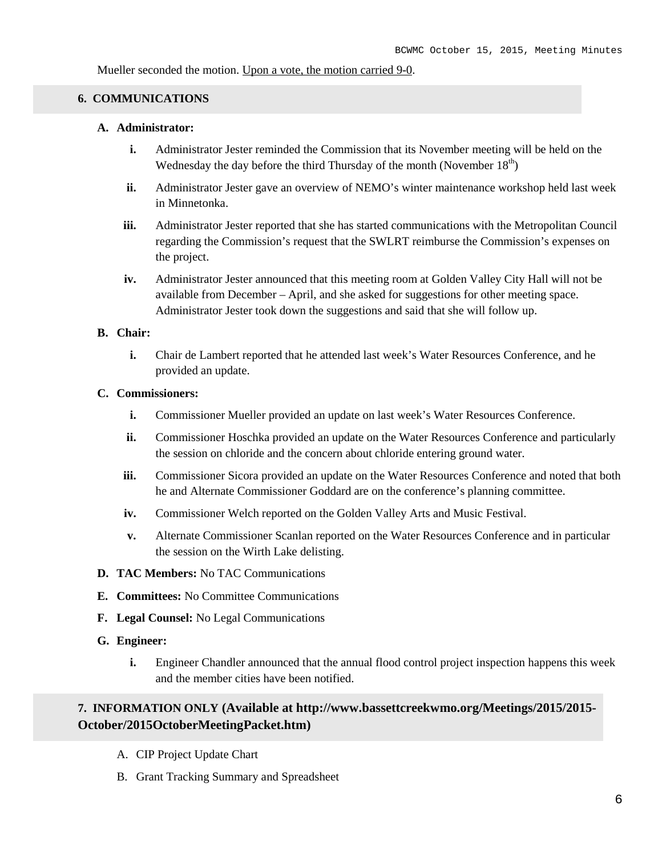Mueller seconded the motion. Upon a vote, the motion carried 9-0.

#### **6. COMMUNICATIONS**

#### **A. Administrator:**

- **i.** Administrator Jester reminded the Commission that its November meeting will be held on the Wednesday the day before the third Thursday of the month (November  $18<sup>th</sup>$ )
- **ii.** Administrator Jester gave an overview of NEMO's winter maintenance workshop held last week in Minnetonka.
- **iii.** Administrator Jester reported that she has started communications with the Metropolitan Council regarding the Commission's request that the SWLRT reimburse the Commission's expenses on the project.
- **iv.** Administrator Jester announced that this meeting room at Golden Valley City Hall will not be available from December – April, and she asked for suggestions for other meeting space. Administrator Jester took down the suggestions and said that she will follow up.

#### **B. Chair:**

**i.** Chair de Lambert reported that he attended last week's Water Resources Conference, and he provided an update.

#### **C. Commissioners:**

- **i.** Commissioner Mueller provided an update on last week's Water Resources Conference.
- **ii.** Commissioner Hoschka provided an update on the Water Resources Conference and particularly the session on chloride and the concern about chloride entering ground water.
- iii. Commissioner Sicora provided an update on the Water Resources Conference and noted that both he and Alternate Commissioner Goddard are on the conference's planning committee.
- **iv.** Commissioner Welch reported on the Golden Valley Arts and Music Festival.
- **v.** Alternate Commissioner Scanlan reported on the Water Resources Conference and in particular the session on the Wirth Lake delisting.
- **D. TAC Members:** No TAC Communications
- **E. Committees:** No Committee Communications
- **F. Legal Counsel:** No Legal Communications
- **G. Engineer:**
	- **i.** Engineer Chandler announced that the annual flood control project inspection happens this week and the member cities have been notified.

# **7. INFORMATION ONLY (Available at http://www.bassettcreekwmo.org/Meetings/2015/2015- October/2015OctoberMeetingPacket.htm)**

- A. CIP Project Update Chart
- B. Grant Tracking Summary and Spreadsheet